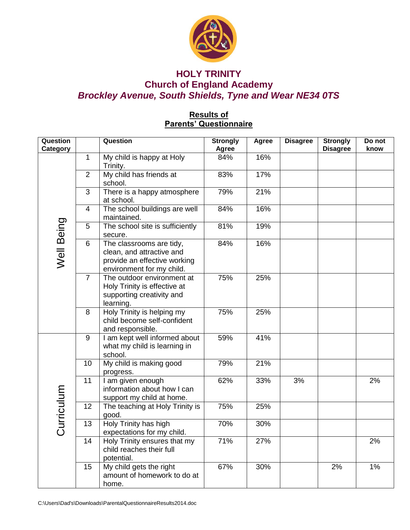

# **HOLY TRINITY Church of England Academy** *Brockley Avenue, South Shields, Tyne and Wear NE34 0TS*

## **Results of Parents' Questionnaire**

| <b>Question</b><br>Category |                | Question                                                                                                           | <b>Strongly</b><br>Agree | Agree | <b>Disagree</b> | <b>Strongly</b><br><b>Disagree</b> | Do not<br>know |
|-----------------------------|----------------|--------------------------------------------------------------------------------------------------------------------|--------------------------|-------|-----------------|------------------------------------|----------------|
| Well Being                  | 1.             | My child is happy at Holy<br>Trinity.                                                                              | 84%                      | 16%   |                 |                                    |                |
|                             | $\overline{2}$ | My child has friends at<br>school.                                                                                 | 83%                      | 17%   |                 |                                    |                |
|                             | 3              | There is a happy atmosphere<br>at school.                                                                          | 79%                      | 21%   |                 |                                    |                |
|                             | 4              | The school buildings are well<br>maintained.                                                                       | 84%                      | 16%   |                 |                                    |                |
|                             | 5              | The school site is sufficiently<br>secure.                                                                         | 81%                      | 19%   |                 |                                    |                |
|                             | 6              | The classrooms are tidy,<br>clean, and attractive and<br>provide an effective working<br>environment for my child. | 84%                      | 16%   |                 |                                    |                |
|                             | $\overline{7}$ | The outdoor environment at<br>Holy Trinity is effective at<br>supporting creativity and<br>learning.               | 75%                      | 25%   |                 |                                    |                |
|                             | 8              | Holy Trinity is helping my<br>child become self-confident<br>and responsible.                                      | 75%                      | 25%   |                 |                                    |                |
| Curriculum                  | 9              | I am kept well informed about<br>what my child is learning in<br>school.                                           | 59%                      | 41%   |                 |                                    |                |
|                             | 10             | My child is making good<br>progress.                                                                               | 79%                      | 21%   |                 |                                    |                |
|                             | 11             | I am given enough<br>information about how I can<br>support my child at home.                                      | 62%                      | 33%   | 3%              |                                    | 2%             |
|                             | 12             | The teaching at Holy Trinity is<br>good.                                                                           | 75%                      | 25%   |                 |                                    |                |
|                             | 13             | Holy Trinity has high<br>expectations for my child.                                                                | 70%                      | 30%   |                 |                                    |                |
|                             | 14             | Holy Trinity ensures that my<br>child reaches their full<br>potential.                                             | 71%                      | 27%   |                 |                                    | 2%             |
|                             | 15             | My child gets the right<br>amount of homework to do at<br>home.                                                    | 67%                      | 30%   |                 | 2%                                 | 1%             |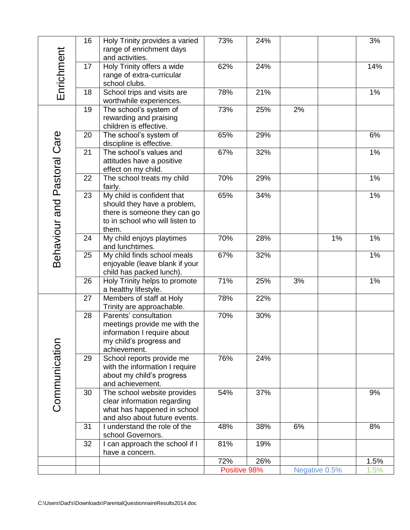| Enrichment                  | 16 | Holy Trinity provides a varied                                | 73%          | 24% |               |    | 3%           |
|-----------------------------|----|---------------------------------------------------------------|--------------|-----|---------------|----|--------------|
|                             |    | range of enrichment days                                      |              |     |               |    |              |
|                             | 17 | and activities.<br>Holy Trinity offers a wide                 | 62%          | 24% |               |    | 14%          |
|                             |    | range of extra-curricular                                     |              |     |               |    |              |
|                             |    | school clubs.                                                 |              |     |               |    |              |
|                             | 18 | School trips and visits are<br>worthwhile experiences.        | 78%          | 21% |               |    | 1%           |
|                             | 19 | The school's system of                                        | 73%          | 25% | 2%            |    |              |
|                             |    | rewarding and praising                                        |              |     |               |    |              |
|                             | 20 | children is effective.                                        | 65%          | 29% |               |    | 6%           |
|                             |    | The school's system of<br>discipline is effective.            |              |     |               |    |              |
|                             | 21 | The school's values and                                       | 67%          | 32% |               |    | 1%           |
|                             |    | attitudes have a positive                                     |              |     |               |    |              |
|                             | 22 | effect on my child.<br>The school treats my child             | 70%          | 29% |               |    | 1%           |
|                             |    | fairly.                                                       |              |     |               |    |              |
|                             | 23 | My child is confident that                                    | 65%          | 34% |               |    | 1%           |
|                             |    | should they have a problem,                                   |              |     |               |    |              |
|                             |    | there is someone they can go                                  |              |     |               |    |              |
|                             |    | to in school who will listen to<br>them.                      |              |     |               |    |              |
|                             | 24 | My child enjoys playtimes                                     | 70%          | 28% |               | 1% | 1%           |
| Behaviour and Pastoral Care |    | and lunchtimes.                                               |              |     |               |    |              |
|                             | 25 | My child finds school meals                                   | 67%          | 32% |               |    | 1%           |
|                             |    | enjoyable (leave blank if your                                |              |     |               |    |              |
|                             | 26 | child has packed lunch).<br>Holy Trinity helps to promote     | 71%          | 25% | 3%            |    | 1%           |
|                             |    | a healthy lifestyle.                                          |              |     |               |    |              |
|                             | 27 | Members of staff at Holy                                      | 78%          | 22% |               |    |              |
|                             |    | Trinity are approachable.                                     |              |     |               |    |              |
|                             | 28 | Parents' consultation<br>meetings provide me with the         | 70%          | 30% |               |    |              |
|                             |    | information I require about                                   |              |     |               |    |              |
| Communication               |    | my child's progress and                                       |              |     |               |    |              |
|                             |    | achievement.                                                  |              |     |               |    |              |
|                             | 29 | School reports provide me                                     | 76%          | 24% |               |    |              |
|                             |    | with the information I require<br>about my child's progress   |              |     |               |    |              |
|                             |    | and achievement.                                              |              |     |               |    |              |
|                             | 30 | The school website provides                                   | 54%          | 37% |               |    | 9%           |
|                             |    | clear information regarding                                   |              |     |               |    |              |
|                             |    | what has happened in school                                   |              |     |               |    |              |
|                             | 31 | and also about future events.<br>I understand the role of the | 48%          | 38% | 6%            |    | 8%           |
|                             |    | school Governors.                                             |              |     |               |    |              |
|                             | 32 | I can approach the school if I                                | 81%          | 19% |               |    |              |
|                             |    | have a concern.                                               |              |     |               |    |              |
|                             |    |                                                               | 72%          | 26% |               |    | 1.5%<br>1.5% |
|                             |    |                                                               | Positive 98% |     | Negative 0.5% |    |              |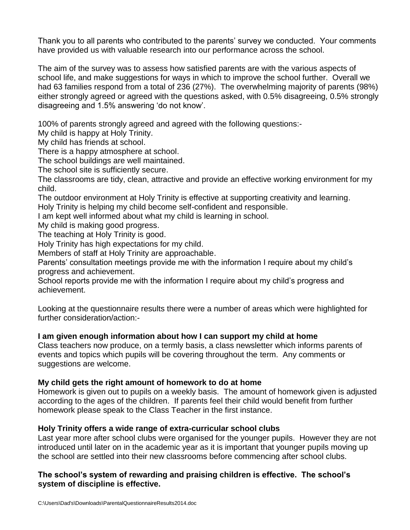Thank you to all parents who contributed to the parents' survey we conducted. Your comments have provided us with valuable research into our performance across the school.

The aim of the survey was to assess how satisfied parents are with the various aspects of school life, and make suggestions for ways in which to improve the school further. Overall we had 63 families respond from a total of 236 (27%). The overwhelming majority of parents (98%) either strongly agreed or agreed with the questions asked, with 0.5% disagreeing, 0.5% strongly disagreeing and 1.5% answering 'do not know'.

100% of parents strongly agreed and agreed with the following questions:-

My child is happy at Holy Trinity.

My child has friends at school.

There is a happy atmosphere at school.

The school buildings are well maintained.

The school site is sufficiently secure.

The classrooms are tidy, clean, attractive and provide an effective working environment for my child.

The outdoor environment at Holy Trinity is effective at supporting creativity and learning.

Holy Trinity is helping my child become self-confident and responsible.

I am kept well informed about what my child is learning in school.

My child is making good progress.

The teaching at Holy Trinity is good.

Holy Trinity has high expectations for my child.

Members of staff at Holy Trinity are approachable.

Parents' consultation meetings provide me with the information I require about my child's progress and achievement.

School reports provide me with the information I require about my child's progress and achievement.

Looking at the questionnaire results there were a number of areas which were highlighted for further consideration/action:-

## **I am given enough information about how I can support my child at home**

Class teachers now produce, on a termly basis, a class newsletter which informs parents of events and topics which pupils will be covering throughout the term. Any comments or suggestions are welcome.

## **My child gets the right amount of homework to do at home**

Homework is given out to pupils on a weekly basis. The amount of homework given is adjusted according to the ages of the children. If parents feel their child would benefit from further homework please speak to the Class Teacher in the first instance.

## **Holy Trinity offers a wide range of extra-curricular school clubs**

Last year more after school clubs were organised for the younger pupils. However they are not introduced until later on in the academic year as it is important that younger pupils moving up the school are settled into their new classrooms before commencing after school clubs.

## **The school's system of rewarding and praising children is effective. The school's system of discipline is effective.**